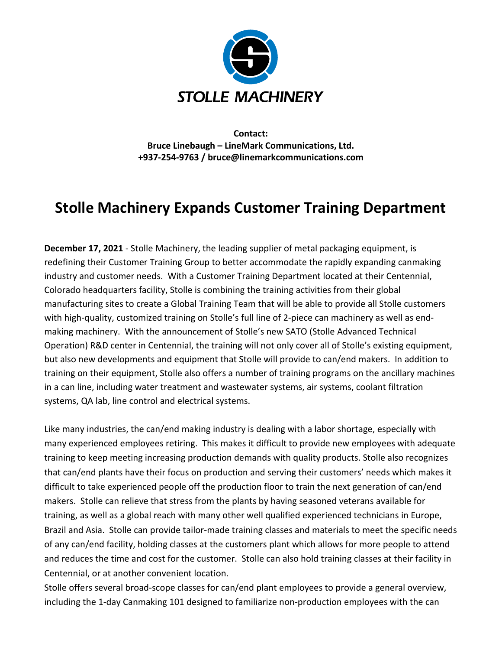

**Contact: Bruce Linebaugh – LineMark Communications, Ltd. +937-254-9763 / bruce@linemarkcommunications.com**

## **Stolle Machinery Expands Customer Training Department**

**December 17, 2021** - Stolle Machinery, the leading supplier of metal packaging equipment, is redefining their Customer Training Group to better accommodate the rapidly expanding canmaking industry and customer needs. With a Customer Training Department located at their Centennial, Colorado headquarters facility, Stolle is combining the training activities from their global manufacturing sites to create a Global Training Team that will be able to provide all Stolle customers with high-quality, customized training on Stolle's full line of 2-piece can machinery as well as endmaking machinery. With the announcement of Stolle's new SATO (Stolle Advanced Technical Operation) R&D center in Centennial, the training will not only cover all of Stolle's existing equipment, but also new developments and equipment that Stolle will provide to can/end makers. In addition to training on their equipment, Stolle also offers a number of training programs on the ancillary machines in a can line, including water treatment and wastewater systems, air systems, coolant filtration systems, QA lab, line control and electrical systems.

Like many industries, the can/end making industry is dealing with a labor shortage, especially with many experienced employees retiring. This makes it difficult to provide new employees with adequate training to keep meeting increasing production demands with quality products. Stolle also recognizes that can/end plants have their focus on production and serving their customers' needs which makes it difficult to take experienced people off the production floor to train the next generation of can/end makers. Stolle can relieve that stress from the plants by having seasoned veterans available for training, as well as a global reach with many other well qualified experienced technicians in Europe, Brazil and Asia. Stolle can provide tailor-made training classes and materials to meet the specific needs of any can/end facility, holding classes at the customers plant which allows for more people to attend and reduces the time and cost for the customer. Stolle can also hold training classes at their facility in Centennial, or at another convenient location.

Stolle offers several broad-scope classes for can/end plant employees to provide a general overview, including the 1-day Canmaking 101 designed to familiarize non-production employees with the can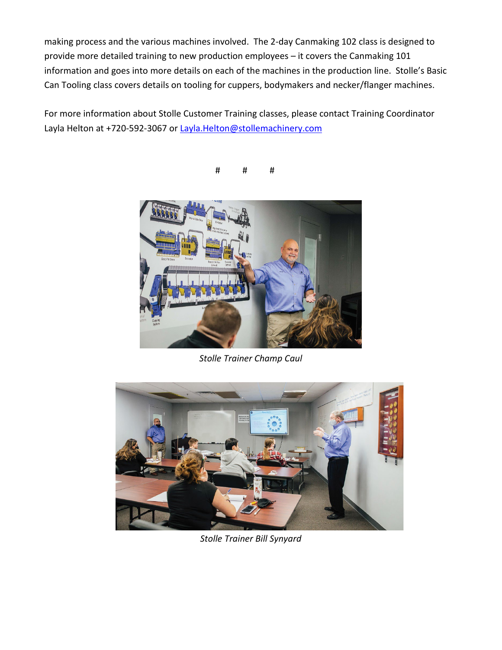making process and the various machines involved. The 2-day Canmaking 102 class is designed to provide more detailed training to new production employees – it covers the Canmaking 101 information and goes into more details on each of the machines in the production line. Stolle's Basic Can Tooling class covers details on tooling for cuppers, bodymakers and necker/flanger machines.

For more information about Stolle Customer Training classes, please contact Training Coordinator Layla Helton at +720-592-3067 o[r Layla.Helton@stollemachinery.com](mailto:Layla.Helton@stollemachinery.com)

# # #



*Stolle Trainer Champ Caul*



*Stolle Trainer Bill Synyard*